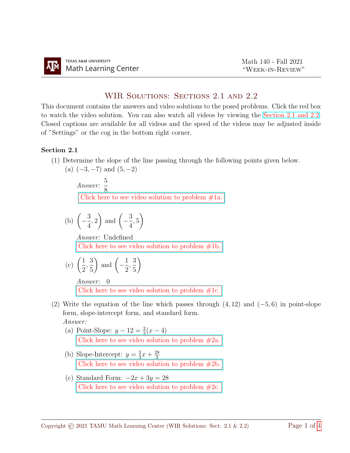## WIR SOLUTIONS: SECTIONS 2.1 AND 2.2

This document contains the answers and video solutions to the posed problems. Click the red box to watch the video solution. You can also watch all videos by viewing the [Section 2.1 and 2.2.](https://youtube.com/playlist?list=PLwFg2cC3rFdmkJbHKKqm2L8fn-3p-7c1k) Closed captions are available for all videos and the speed of the videos may be adjusted inside of "Settings" or the cog in the bottom right corner.

## Section 2.1

(1) Determine the slope of the line passing through the following points given below.

(a)  $(-3, -7)$  and  $(5, -2)$ Answer:  $\frac{5}{8}$ 8 [Click here to see video solution to problem #1a.](https://youtu.be/e_PoV_2ix-Q) (b)  $\left(-\frac{3}{4}\right)$ 4 , 2 ) and  $\left(-\frac{3}{4}\right)$ 4 , 5  $\setminus$ Answer: Undefined [Click here to see video solution to problem #1b.](https://youtu.be/e_PoV_2ix-Q?t=92)  $1 \quad 3)$ 1 3  $\setminus$ 

(c) 
$$
\left(\frac{1}{2}, \frac{3}{5}\right)
$$
 and  $\left(-\frac{1}{2}, \frac{3}{5}\right)$   
Answer: 0

Click here to see video solution to problem  $#1c$ .

- (2) Write the equation of the line which passes through  $(4, 12)$  and  $(-5, 6)$  in point-slope form, slope-intercept form, and standard form. Answer:
	- (a) Point-Slope:  $y 12 = \frac{2}{3}(x 4)$ [Click here to see video solution to problem #2a.](https://www.youtube.com/watch?v=kKy5DultyzU)
	- (b) Slope-Intercept:  $y = \frac{2}{3}$  $rac{2}{3}x + \frac{28}{3}$ 3 [Click here to see video solution to problem #2b.](https://youtu.be/kKy5DultyzU?t=156)
	- (c) Standard Form:  $-2x + 3y = 28$ Click here to see video solution to problem  $#2c$ .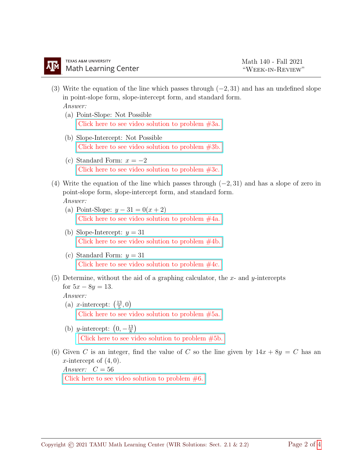- (3) Write the equation of the line which passes through  $(-2, 31)$  and has an undefined slope in point-slope form, slope-intercept form, and standard form.
	- Answer:
	- (a) Point-Slope: Not Possible [Click here to see video solution to problem #3a.](https://www.youtube.com/watch?v=kJ-fdEfpp_g)
	- (b) Slope-Intercept: Not Possible [Click here to see video solution to problem #3b.](https://youtu.be/kJ-fdEfpp_g?t=163)
	- (c) Standard Form:  $x = -2$ Click here to see video solution to problem  $#3c$ .
- (4) Write the equation of the line which passes through  $(-2, 31)$  and has a slope of zero in point-slope form, slope-intercept form, and standard form. Answer:
	- (a) Point-Slope:  $y 31 = 0(x + 2)$ [Click here to see video solution to problem #4a.](https://www.youtube.com/watch?v=KVJOeeLVmSE)
	- (b) Slope-Intercept:  $y = 31$ [Click here to see video solution to problem #4b.](https://youtu.be/KVJOeeLVmSE?t=139)
	- (c) Standard Form:  $y = 31$ [Click here to see video solution to problem #4c.](https://youtu.be/KVJOeeLVmSE?t=202)
- (5) Determine, without the aid of a graphing calculator, the x- and y-intercepts for  $5x - 8y = 13$ .

Answer:

- (a) *x*-intercept:  $\left(\frac{13}{5}\right)$  $(\frac{13}{5},0)$ [Click here to see video solution to problem #5a.](https://www.youtube.com/watch?v=H2jig6LHK4k)
- (b) y-intercept:  $(0, -\frac{13}{8})$  $\frac{13}{8}$ [Click here to see video solution to problem #5b.](https://youtu.be/H2jig6LHK4k?t=145)
- (6) Given C is an integer, find the value of C so the line given by  $14x + 8y = C$  has an x-intercept of  $(4, 0)$ .

Answer:  $C = 56$ Click here to see video solution to problem  $#6$ .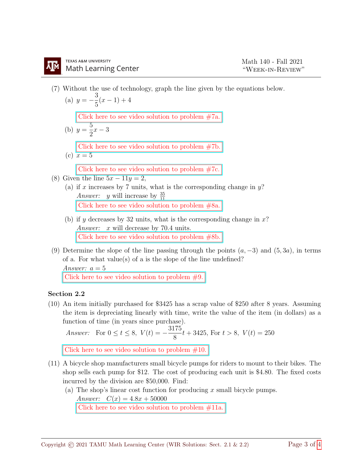(7) Without the use of technology, graph the line given by the equations below.

(a) 
$$
y = -\frac{3}{5}(x-1) + 4
$$

[Click here to see video solution to problem #7a.](https://youtu.be/I3Jst4b5Uos)

(b) 
$$
y = \frac{5}{2}x - 3
$$
  
\nClick here to see video solution to problem #7b.  
\n(c)  $x = 5$ 

[Click here to see video solution to problem #7c.](https://youtu.be/PHXsCn9mjbk)

- (8) Given the line  $5x 11y = 2$ ,
	- (a) if x increases by 7 units, what is the corresponding change in  $y$ ? *Answer: y* will increase by  $\frac{35}{11}$ [Click here to see video solution to problem #8a.](https://youtu.be/03uXUz6PV_I)
	- (b) if y decreases by 32 units, what is the corresponding change in  $x$ ? Answer: x will decrease by 70.4 units. [Click here to see video solution to problem #8b.](https://youtu.be/IVGIN-XnXQY)
- (9) Determine the slope of the line passing through the points  $(a, -3)$  and  $(5, 3a)$ , in terms of a. For what value(s) of a is the slope of the line undefined? Answer:  $a = 5$

Click here to see video solution to problem  $#9$ .

## Section 2.2

(10) An item initially purchased for \$3425 has a scrap value of \$250 after 8 years. Assuming the item is depreciating linearly with time, write the value of the item (in dollars) as a function of time (in years since purchase).

Answer: For 
$$
0 \le t \le 8
$$
,  $V(t) = -\frac{3175}{8}t + 3425$ , For  $t > 8$ ,  $V(t) = 250$ 

Click here to see video solution to problem  $#10$ .

- (11) A bicycle shop manufacturers small bicycle pumps for riders to mount to their bikes. The shop sells each pump for \$12. The cost of producing each unit is \$4.80. The fixed costs incurred by the division are \$50,000. Find:
	- (a) The shop's linear cost function for producing  $x$  small bicycle pumps. Answer:  $C(x) = 4.8x + 50000$ [Click here to see video solution to problem #11a.](https://www.youtube.com/watch?v=7Jn_NWJktkU)